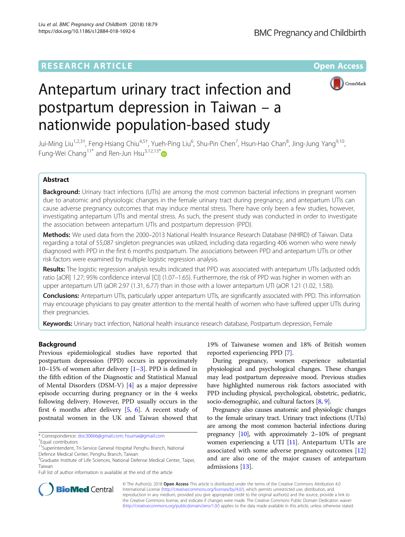## **RESEARCH ARTICLE Example 2014 12:30 The Contract of Contract ACCESS**



# Antepartum urinary tract infection and postpartum depression in Taiwan – a nationwide population-based study

Jui-Ming Liu<sup>1,2,3†</sup>, Feng-Hsiang Chiu<sup>4,5†</sup>, Yueh-Ping Liu<sup>6</sup>, Shu-Pin Chen<sup>7</sup>, Hsun-Hao Chan<sup>8</sup>, Jing-Jung Yang<sup>9,10</sup>, Fung-Wei Chang<sup>11\*</sup> and Ren-Jun Hsu<sup>3,12,13\*</sup>

## Abstract

Background: Urinary tract infections (UTIs) are among the most common bacterial infections in pregnant women due to anatomic and physiologic changes in the female urinary tract during pregnancy, and antepartum UTIs can cause adverse pregnancy outcomes that may induce mental stress. There have only been a few studies, however, investigating antepartum UTIs and mental stress. As such, the present study was conducted in order to investigate the association between antepartum UTIs and postpartum depression (PPD).

Methods: We used data from the 2000–2013 National Health Insurance Research Database (NHIRD) of Taiwan. Data regarding a total of 55,087 singleton pregnancies was utilized, including data regarding 406 women who were newly diagnosed with PPD in the first 6 months postpartum. The associations between PPD and antepartum UTIs or other risk factors were examined by multiple logistic regression analysis.

Results: The logistic regression analysis results indicated that PPD was associated with antepartum UTIs (adjusted odds ratio [aOR] 1.27; 95% confidence interval [CI] (1.07–1.65). Furthermore, the risk of PPD was higher in women with an upper antepartum UTI (aOR 2.97 (1.31, 6.77) than in those with a lower antepartum UTI (aOR 1.21 (1.02, 1.58)).

Conclusions: Antepartum UTIs, particularly upper antepartum UTIs, are significantly associated with PPD. This information may encourage physicians to pay greater attention to the mental health of women who have suffered upper UTIs during their pregnancies.

Keywords: Urinary tract infection, National health insurance research database, Postpartum depression, Female

## Background

Previous epidemiological studies have reported that postpartum depression (PPD) occurs in approximately 10–15% of women after delivery  $[1–3]$  $[1–3]$  $[1–3]$ . PPD is defined in the fifth edition of the Diagnostic and Statistical Manual of Mental Disorders (DSM-V) [\[4](#page-6-0)] as a major depressive episode occurring during pregnancy or in the 4 weeks following delivery. However, PPD usually occurs in the first 6 months after delivery [\[5](#page-6-0), [6](#page-6-0)]. A recent study of postnatal women in the UK and Taiwan showed that

19% of Taiwanese women and 18% of British women reported experiencing PPD [[7\]](#page-6-0).

During pregnancy, women experience substantial physiological and psychological changes. These changes may lead postpartum depressive mood. Previous studies have highlighted numerous risk factors associated with PPD including physical, psychological, obstetric, pediatric, socio-demographic, and cultural factors [[8,](#page-6-0) [9](#page-6-0)].

Pregnancy also causes anatomic and physiologic changes to the female urinary tract. Urinary tract infections (UTIs) are among the most common bacterial infections during pregnancy [[10](#page-6-0)], with approximately 2–10% of pregnant women experiencing a UTI [\[11\]](#page-6-0). Antepartum UTIs are associated with some adverse pregnancy outcomes [\[12](#page-6-0)] and are also one of the major causes of antepartum admissions [[13\]](#page-6-0).



© The Author(s). 2018 Open Access This article is distributed under the terms of the Creative Commons Attribution 4.0 International License [\(http://creativecommons.org/licenses/by/4.0/](http://creativecommons.org/licenses/by/4.0/)), which permits unrestricted use, distribution, and reproduction in any medium, provided you give appropriate credit to the original author(s) and the source, provide a link to the Creative Commons license, and indicate if changes were made. The Creative Commons Public Domain Dedication waiver [\(http://creativecommons.org/publicdomain/zero/1.0/](http://creativecommons.org/publicdomain/zero/1.0/)) applies to the data made available in this article, unless otherwise stated.

<sup>\*</sup> Correspondence: [doc30666@gmail.com;](mailto:doc30666@gmail.com) [hsurnai@gmail.com](mailto:hsurnai@gmail.com) †

Equal contributors

<sup>11</sup>Superintendent, Tri-Service General Hospital Penghu Branch, National

Defence Medical Center, Penghu Branch, Taiwan

<sup>&</sup>lt;sup>3</sup>Graduate Institute of Life Sciences, National Defense Medical Center, Taipei, Taiwan

Full list of author information is available at the end of the article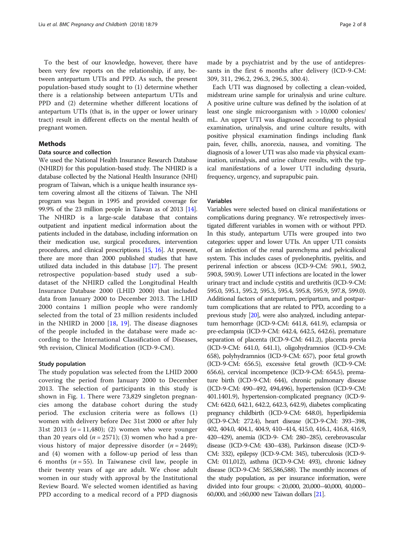To the best of our knowledge, however, there have been very few reports on the relationship, if any, between antepartum UTIs and PPD. As such, the present population-based study sought to (1) determine whether there is a relationship between antepartum UTIs and PPD and (2) determine whether different locations of antepartum UTIs (that is, in the upper or lower urinary tract) result in different effects on the mental health of pregnant women.

#### Methods

## Data source and collection

We used the National Health Insurance Research Database (NHIRD) for this population-based study. The NHIRD is a database collected by the National Health Insurance (NHI) program of Taiwan, which is a unique health insurance system covering almost all the citizens of Taiwan. The NHI program was begun in 1995 and provided coverage for 99.9% of the 23 million people in Taiwan as of 2013 [\[14](#page-6-0)]. The NHIRD is a large-scale database that contains outpatient and inpatient medical information about the patients included in the database, including information on their medication use, surgical procedures, intervention procedures, and clinical prescriptions [[15](#page-6-0), [16](#page-6-0)]. At present, there are more than 2000 published studies that have utilized data included in this database [\[17\]](#page-6-0). The present retrospective population-based study used a subdataset of the NHIRD called the Longitudinal Health Insurance Database 2000 (LHID 2000) that included data from January 2000 to December 2013. The LHID 2000 contains 1 million people who were randomly selected from the total of 23 million residents included in the NHIRD in 2000  $[18, 19]$  $[18, 19]$  $[18, 19]$  $[18, 19]$ . The disease diagnoses of the people included in the database were made according to the International Classification of Diseases, 9th revision, Clinical Modification (ICD-9-CM).

#### Study population

The study population was selected from the LHID 2000 covering the period from January 2000 to December 2013. The selection of participants in this study is shown in Fig. [1.](#page-2-0) There were 73,829 singleton pregnancies among the database cohort during the study period. The exclusion criteria were as follows (1) women with delivery before Dec 31st 2000 or after July 31st 2013 ( $n = 11,480$ ); (2) women who were younger than 20 years old  $(n = 2571)$ ; (3) women who had a previous history of major depressive disorder  $(n = 2449)$ ; and (4) women with a follow-up period of less than 6 months ( $n = 55$ ). In Taiwanese civil law, people in their twenty years of age are adult. We chose adult women in our study with approval by the Institutional Review Board. We selected women identified as having PPD according to a medical record of a PPD diagnosis

made by a psychiatrist and by the use of antidepressants in the first 6 months after delivery (ICD-9-CM: 309, 311, 296.2, 296.3, 296.5, 300.4).

Each UTI was diagnosed by collecting a clean-voided, midstream urine sample for urinalysis and urine culture. A positive urine culture was defined by the isolation of at least one single microorganism with > 10,000 colonies/ mL. An upper UTI was diagnosed according to physical examination, urinalysis, and urine culture results, with positive physical examination findings including flank pain, fever, chills, anorexia, nausea, and vomiting. The diagnosis of a lower UTI was also made via physical examination, urinalysis, and urine culture results, with the typical manifestations of a lower UTI including dysuria, frequency, urgency, and suprapubic pain.

### Variables

Variables were selected based on clinical manifestations or complications during pregnancy. We retrospectively investigated different variables in women with or without PPD. In this study, antepartum UTIs were grouped into two categories: upper and lower UTIs. An upper UTI consists of an infection of the renal parenchyma and pelvicaliceal system. This includes cases of pyelonephritis, pyelitis, and perirenal infection or abscess (ICD-9-CM: 590.1, 590.2, 590.8, 590.9). Lower UTI infections are located in the lower urinary tract and include cystitis and urethritis (ICD-9-CM: 595.0, 595.1, 595.2, 595.3, 595.4, 595.8, 595.9, 597.8, 599.0). Additional factors of antepartum, peripartum, and postpartum complications that are related to PPD, according to a previous study [[20](#page-6-0)], were also analyzed, including antepartum hemorrhage (ICD-9-CM: 641.8, 641.9), eclampsia or pre-eclampsia (ICD-9-CM: 642.4, 642.5, 642.6), premature separation of placenta (ICD-9-CM: 641.2), placenta previa (ICD-9-CM: 641.0, 641.1), oligohydramnios (ICD-9-CM: 658), polyhydramnios (ICD-9-CM: 657), poor fetal growth (ICD-9-CM: 656.5), excessive fetal growth (ICD-9-CM: 656.6), cervical incompetence (ICD-9-CM: 654.5), premature birth (ICD-9-CM: 644), chronic pulmonary disease (ICD-9-CM: 490–492, 494,496), hypertension (ICD-9-CM: 401.1401.9), hypertension-complicated pregnancy (ICD-9- CM: 642.0, 642.1, 642.2, 642.3, 642.9), diabetes complicating pregnancy childbirth (ICD-9-CM: 648.0), hyperlipidemia (ICD-9-CM: 272.4), heart disease (ICD-9-CM: 393–398, 402, 404.0, 404.1, 404.9, 410–414, 415.0, 416.1, 416.8, 416.9, 420–429), anemia (ICD-9- CM: 280–285), cerebrovascular disease (ICD-9-CM: 430–438), Parkinson disease (ICD-9- CM: 332), epilepsy (ICD-9-CM: 345), tuberculosis (ICD-9- CM: 011,012), asthma (ICD-9-CM: 493), chronic kidney disease (ICD-9-CM: 585,586,588). The monthly incomes of the study population, as per insurance information, were divided into four groups: < 20,000, 20,000–40,000, 40,000– 60,000, and ≥60,000 new Taiwan dollars [\[21\]](#page-6-0).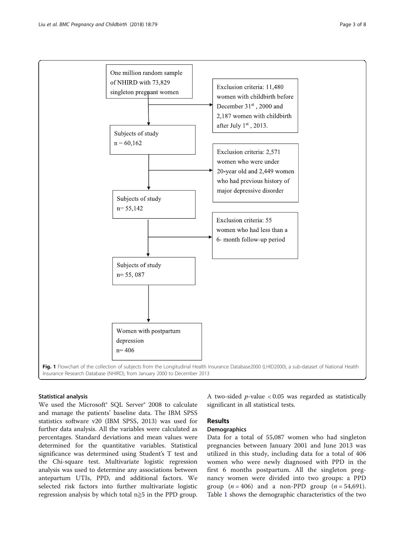<span id="page-2-0"></span>

#### Statistical analysis

We used the Microsoft® SQL Server® 2008 to calculate and manage the patients' baseline data. The IBM SPSS statistics software v20 (IBM SPSS, 2013) was used for further data analysis. All the variables were calculated as percentages. Standard deviations and mean values were determined for the quantitative variables. Statistical significance was determined using Student's T test and the Chi-square test. Multivariate logistic regression analysis was used to determine any associations between antepartum UTIs, PPD, and additional factors. We selected risk factors into further multivariate logistic regression analysis by which total  $n \geq 5$  in the PPD group.

A two-sided  $p$ -value < 0.05 was regarded as statistically significant in all statistical tests.

## Results

## Demographics

Data for a total of 55,087 women who had singleton pregnancies between January 2001 and June 2013 was utilized in this study, including data for a total of 406 women who were newly diagnosed with PPD in the first 6 months postpartum. All the singleton pregnancy women were divided into two groups: a PPD group  $(n = 406)$  and a non-PPD group  $(n = 54,691)$ . Table [1](#page-3-0) shows the demographic characteristics of the two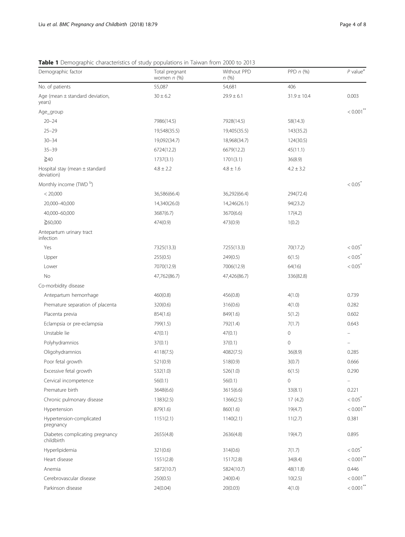## <span id="page-3-0"></span>Table 1 Demographic characteristics of study populations in Taiwan from 2000 to 2013

| Demographic factor                               | Total pregnant<br>women $n$ (%) | Without PPD<br>n(%) | PPD $n$ (%)     | $P$ value <sup>a</sup>  |
|--------------------------------------------------|---------------------------------|---------------------|-----------------|-------------------------|
| No. of patients                                  | 55,087                          | 54,681              | 406             |                         |
| Age (mean $\pm$ standard deviation,<br>years)    | $30 \pm 6.2$                    | $29.9 \pm 6.1$      | $31.9 \pm 10.4$ | 0.003                   |
| Age_group                                        |                                 |                     |                 | $< 0.001$ **            |
| $20 - 24$                                        | 7986(14.5)                      | 7928(14.5)          | 58(14.3)        |                         |
| $25 - 29$                                        | 19,548(35.5)                    | 19,405(35.5)        | 143(35.2)       |                         |
| $30 - 34$                                        | 19,092(34.7)                    | 18,968(34.7)        | 124(30.5)       |                         |
| $35 - 39$                                        | 6724(12.2)                      | 6679(12.2)          | 45(11.1)        |                         |
| $\geq 40$                                        | 1737(3.1)                       | 1701(3.1)           | 36(8.9)         |                         |
| Hospital stay (mean $\pm$ standard<br>deviation) | $4.8 \pm 2.2$                   | $4.8 \pm 1.6$       | $4.2 \pm 3.2$   |                         |
| Monthly income (TWD <sup>b</sup> )               |                                 |                     |                 | $< 0.05^{\degree}$      |
| < 20,000                                         | 36,586(66.4)                    | 36,292(66.4)        | 294(72.4)       |                         |
| 20,000-40,000                                    | 14,340(26.0)                    | 14,246(26.1)        | 94(23.2)        |                         |
| 40,000-60,000                                    | 3687(6.7)                       | 3670(6.6)           | 17(4.2)         |                         |
| $\geq 60,000$                                    | 474(0.9)                        | 473(0.9)            | 1(0.2)          |                         |
| Antepartum urinary tract<br>infection            |                                 |                     |                 |                         |
| Yes                                              | 7325(13.3)                      | 7255(13.3)          | 70(17.2)        | $< 0.05^{\degree}$      |
| Upper                                            | 255(0.5)                        | 249(0.5)            | 6(1.5)          | $< 0.05^{\degree}$      |
| Lower                                            | 7070(12.9)                      | 7006(12.9)          | 64(16)          | $< 0.05^*$              |
| No                                               | 47,762(86.7)                    | 47,426(86.7)        | 336(82.8)       |                         |
| Co-morbidity disease                             |                                 |                     |                 |                         |
| Antepartum hemorrhage                            | 460(0.8)                        | 456(0.8)            | 4(1.0)          | 0.739                   |
| Premature separation of placenta                 | 320(0.6)                        | 316(0.6)            | 4(1.0)          | 0.282                   |
| Placenta previa                                  | 854(1.6)                        | 849(1.6)            | 5(1.2)          | 0.602                   |
| Eclampsia or pre-eclampsia                       | 799(1.5)                        | 792(1.4)            | 7(1.7)          | 0.643                   |
| Unstable lie                                     | 47(0.1)                         | 47(0.1)             | 0               |                         |
| Polyhydramnios                                   | 37(0.1)                         | 37(0.1)             | 0               |                         |
| Oligohydramnios                                  | 4118(7.5)                       | 4082(7.5)           | 36(8.9)         | 0.285                   |
| Poor fetal growth                                | 521(0.9)                        | 518(0.9)            | 3(0.7)          | 0.666                   |
| Excessive fetal growth                           | 532(1.0)                        | 526(1.0)            | 6(1.5)          | 0.290                   |
| Cervical incompetence                            | 56(0.1)                         | 56(0.1)             | 0               |                         |
| Premature birth                                  | 3648(6.6)                       | 3615(6.6)           | 33(8.1)         | 0.221                   |
| Chronic pulmonary disease                        | 1383(2.5)                       | 1366(2.5)           | 17(4.2)         | $< 0.05^*$              |
| Hypertension                                     | 879(1.6)                        | 860(1.6)            | 19(4.7)         | $< 0.001$ <sup>**</sup> |
| Hypertension-complicated<br>pregnancy            | 1151(2.1)                       | 1140(2.1)           | 11(2.7)         | 0.381                   |
| Diabetes complicating pregnancy<br>childbirth    | 2655(4.8)                       | 2636(4.8)           | 19(4.7)         | 0.895                   |
| Hyperlipidemia                                   | 321(0.6)                        | 314(0.6)            | 7(1.7)          | $< 0.05^*$              |
| Heart disease                                    | 1551(2.8)                       | 1517(2.8)           | 34(8.4)         | $< 0.001$ <sup>**</sup> |
| Anemia                                           | 5872(10.7)                      | 5824(10.7)          | 48(11.8)        | 0.446                   |
| Cerebrovascular disease                          | 250(0.5)                        | 240(0.4)            | 10(2.5)         | $< 0.001$ **            |
| Parkinson disease                                | 24(0.04)                        | 20(0.03)            | 4(1.0)          | $< 0.001$ **            |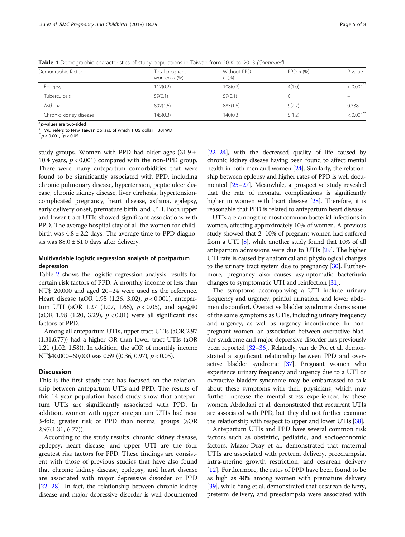| Demographic factor     | Total pregnant<br>women $n$ (%) | Without PPD<br>n(%) | PPD $n$ (%) | $P$ value <sup>a</sup>   |
|------------------------|---------------------------------|---------------------|-------------|--------------------------|
| Epilepsy               | 112(0.2)                        | 108(0.2)            | 4(1.0)      | $< 0.001$ **             |
| Tuberculosis           | 59(0.1)                         | 59(0.1)             |             | $\overline{\phantom{m}}$ |
| Asthma                 | 892(1.6)                        | 883(1.6)            | 9(2.2)      | 0.338                    |
| Chronic kidney disease | 145(0.3)                        | 140(0.3)            | 5(1.2)      | $< 0.001$ **             |

Table 1 Demographic characteristics of study populations in Taiwan from 2000 to 2013 (Continued)

<sup>a.</sup>p-values are two-sided<br><sup>b</sup> TWD refers to New Taiwan dollars, of which 1 US dollar = 30TWD

 $^{**}p <$  0.001,  $^*p <$  0.05

study groups. Women with PPD had older ages  $(31.9 \pm 1.00)$ 10.4 years,  $p < 0.001$ ) compared with the non-PPD group. There were many antepartum comorbidities that were found to be significantly associated with PPD, including chronic pulmonary disease, hypertension, peptic ulcer disease, chronic kidney disease, liver cirrhosis, hypertensioncomplicated pregnancy, heart disease, asthma, epilepsy, early delivery onset, premature birth, and UTI. Both upper and lower tract UTIs showed significant associations with PPD. The average hospital stay of all the women for childbirth was  $4.8 \pm 2.2$  days. The average time to PPD diagnosis was  $88.0 \pm 51.0$  days after delivery.

## Multivariable logistic regression analysis of postpartum depression

Table [2](#page-5-0) shows the logistic regression analysis results for certain risk factors of PPD. A monthly income of less than NT\$ 20,000 and aged 20–24 were used as the reference. Heart disease (aOR 1.95 (1.26, 3.02),  $p < 0.001$ ), antepartum UTI (aOR 1.27 (1.07, 1.65),  $p < 0.05$ ), and age $\geq 40$ (aOR 1.98 (1.20, 3.29),  $p < 0.01$ ) were all significant risk factors of PPD.

Among all antepartum UTIs, upper tract UTIs (aOR 2.97 (1.31,6.77)) had a higher OR than lower tract UTIs (aOR 1.21 (1.02, 1.58)). In addition, the aOR of monthly income NT\$40,000–60,000 was 0.59 ((0.36, 0.97), p < 0.05).

#### **Discussion**

This is the first study that has focused on the relationship between antepartum UTIs and PPD. The results of this 14-year population based study show that antepartum UTIs are significantly associated with PPD. In addition, women with upper antepartum UTIs had near 3-fold greater risk of PPD than normal groups (aOR  $2.97(1.31, 6.77)$ .

According to the study results, chronic kidney disease, epilepsy, heart disease, and upper UTI are the four greatest risk factors for PPD. These findings are consistent with those of previous studies that have also found that chronic kidney disease, epilepsy, and heart disease are associated with major depressive disorder or PPD [[22](#page-6-0)–[28](#page-7-0)]. In fact, the relationship between chronic kidney disease and major depressive disorder is well documented [[22](#page-6-0)–[24](#page-6-0)], with the decreased quality of life caused by chronic kidney disease having been found to affect mental health in both men and women [\[24\]](#page-6-0). Similarly, the relationship between epilepsy and higher rates of PPD is well documented [\[25](#page-7-0)–[27](#page-7-0)]. Meanwhile, a prospective study revealed that the rate of neonatal complications is significantly higher in women with heart disease [\[28\]](#page-7-0). Therefore, it is reasonable that PPD is related to antepartum heart disease.

UTIs are among the most common bacterial infections in women, affecting approximately 10% of women. A previous study showed that 2–10% of pregnant women had suffered from a UTI [\[8\]](#page-6-0), while another study found that 10% of all antepartum admissions were due to UTIs [\[29](#page-7-0)]. The higher UTI rate is caused by anatomical and physiological changes to the urinary tract system due to pregnancy [\[30\]](#page-7-0). Furthermore, pregnancy also causes asymptomatic bacteriuria changes to symptomatic UTI and reinfection [\[31\]](#page-7-0).

The symptoms accompanying a UTI include urinary frequency and urgency, painful urination, and lower abdomen discomfort. Overactive bladder syndrome shares some of the same symptoms as UTIs, including urinary frequency and urgency, as well as urgency incontinence. In nonpregnant women, an association between overactive bladder syndrome and major depressive disorder has previously been reported [\[32](#page-7-0)–[36\]](#page-7-0). Relatedly, van de Pol et al. demonstrated a significant relationship between PPD and overactive bladder syndrome [\[37\]](#page-7-0). Pregnant women who experience urinary frequency and urgency due to a UTI or overactive bladder syndrome may be embarrassed to talk about these symptoms with their physicians, which may further increase the mental stress experienced by these women. Abdollahi et al. demonstrated that recurrent UTIs are associated with PPD, but they did not further examine the relationship with respect to upper and lower UTIs [[38](#page-7-0)].

Antepartum UTIs and PPD have several common risk factors such as obstetric, pediatric, and socioeconomic factors. Mazor-Dray et al. demonstrated that maternal UTIs are associated with preterm delivery, preeclampsia, intra-uterine growth restriction, and cesarean delivery [[12\]](#page-6-0). Furthermore, the rates of PPD have been found to be as high as 40% among women with premature delivery [[39](#page-7-0)], while Yang et al. demonstrated that cesarean delivery, preterm delivery, and preeclampsia were associated with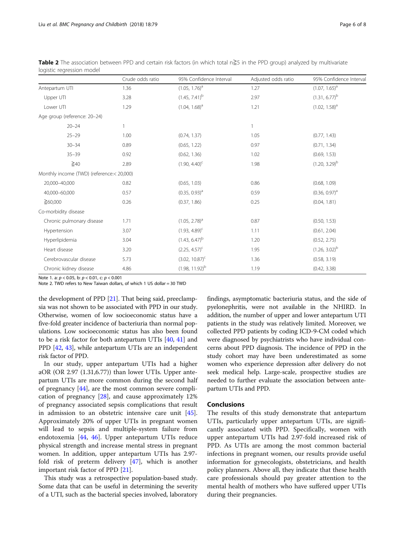|                                           | Crude odds ratio | 95% Confidence Interval     | Adjusted odds ratio | 95% Confidence Interval |
|-------------------------------------------|------------------|-----------------------------|---------------------|-------------------------|
| Antepartum UTI                            | 1.36             | $(1.05, 1.76)^{a}$          | 1.27                | $(1.07, 1.65)^{a}$      |
| Upper UTI                                 | 3.28             | $(1.45, 7.41)^{b}$          | 2.97                | $(1.31, 6.77)^{b}$      |
| Lower UTI                                 | 1.29             | $(1.04, 1.68)^{a}$          | 1.21                | $(1.02, 1.58)^{a}$      |
| Age group (reference: 20-24)              |                  |                             |                     |                         |
| $20 - 24$                                 | $\mathbf{1}$     |                             | 1                   |                         |
| $25 - 29$                                 | 1.00             | (0.74, 1.37)                | 1.05                | (0.77, 1.43)            |
| $30 - 34$                                 | 0.89             | (0.65, 1.22)                | 0.97                | (0.71, 1.34)            |
| $35 - 39$                                 | 0.92             | (0.62, 1.36)                | 1.02                | (0.69, 1.53)            |
| $\geq 40$                                 | 2.89             | $(1.90, 4.40)$ <sup>c</sup> | 1.98                | $(1.20, 3.29)^{b}$      |
| Monthly income (TWD) (reference:< 20,000) |                  |                             |                     |                         |
| 20,000-40,000                             | 0.82             | (0.65, 1.03)                | 0.86                | (0.68, 1.09)            |
| 40,000-60,000                             | 0.57             | $(0.35, 0.93)^{a}$          | 0.59                | $(0.36, 0.97)^a$        |
| $\geq 60,000$                             | 0.26             | (0.37, 1.86)                | 0.25                | (0.04, 1.81)            |
| Co-morbidity disease                      |                  |                             |                     |                         |
| Chronic pulmonary disease                 | 1.71             | $(1.05, 2.78)^a$            | 0.87                | (0.50, 1.53)            |
| Hypertension                              | 3.07             | $(1.93, 4.89)^c$            | 1.11                | (0.61, 2.04)            |
| Hyperlipidemia                            | 3.04             | $(1.43, 6.47)^{b}$          | 1.20                | (0.52, 2.75)            |
| Heart disease                             | 3.20             | $(2.25, 4.57)^c$            | 1.95                | $(1.26, 3.02)^b$        |
| Cerebrovascular disease                   | 5.73             | $(3.02, 10.87)^{c}$         | 1.36                | (0.58, 3.19)            |
| Chronic kidney disease                    | 4.86             | $(1.98, 11.92)^{b}$         | 1.19                | (0.42, 3.38)            |

<span id="page-5-0"></span>Table 2 The association between PPD and certain risk factors (in which total n≧5 in the PPD group) analyzed by multivariate logistic regression model

Note 1. a: p < 0.05, b: p < 0.01, c: p < 0.001

Note 2. TWD refers to New Taiwan dollars, of which 1 US dollar = 30 TWD

the development of PPD [\[21\]](#page-6-0). That being said, preeclampsia was not shown to be associated with PPD in our study. Otherwise, women of low socioeconomic status have a five-fold greater incidence of bacteriuria than normal populations. Low socioeconomic status has also been found to be a risk factor for both antepartum UTIs [[40](#page-7-0), [41](#page-7-0)] and PPD [\[42,](#page-7-0) [43\]](#page-7-0), while antepartum UTIs are an independent risk factor of PPD.

In our study, upper antepartum UTIs had a higher aOR (OR 2.97 (1.31,6.77)) than lower UTIs. Upper antepartum UTIs are more common during the second half of pregnancy [[44](#page-7-0)], are the most common severe complication of pregnancy [\[28\]](#page-7-0), and cause approximately 12% of pregnancy associated sepsis complications that result in admission to an obstetric intensive care unit [\[45](#page-7-0)]. Approximately 20% of upper UTIs in pregnant women will lead to sepsis and multiple-system failure from endotoxemia [[44](#page-7-0), [46](#page-7-0)]. Upper antepartum UTIs reduce physical strength and increase mental stress in pregnant women. In addition, upper antepartum UTIs has 2.97 fold risk of preterm delivery [\[47](#page-7-0)], which is another important risk factor of PPD [\[21](#page-6-0)].

This study was a retrospective population-based study. Some data that can be useful in determining the severity of a UTI, such as the bacterial species involved, laboratory

findings, asymptomatic bacteriuria status, and the side of pyelonephritis, were not available in the NHIRD. In addition, the number of upper and lower antepartum UTI patients in the study was relatively limited. Moreover, we collected PPD patients by coding ICD-9-CM coded which were diagnosed by psychiatrists who have individual concerns about PPD diagnosis. The incidence of PPD in the study cohort may have been underestimated as some women who experience depression after delivery do not seek medical help. Large-scale, prospective studies are needed to further evaluate the association between antepartum UTIs and PPD.

#### Conclusions

The results of this study demonstrate that antepartum UTIs, particularly upper antepartum UTIs, are significantly associated with PPD. Specifically, women with upper antepartum UTIs had 2.97-fold increased risk of PPD. As UTIs are among the most common bacterial infections in pregnant women, our results provide useful information for gynecologists, obstetricians, and health policy planners. Above all, they indicate that these health care professionals should pay greater attention to the mental health of mothers who have suffered upper UTIs during their pregnancies.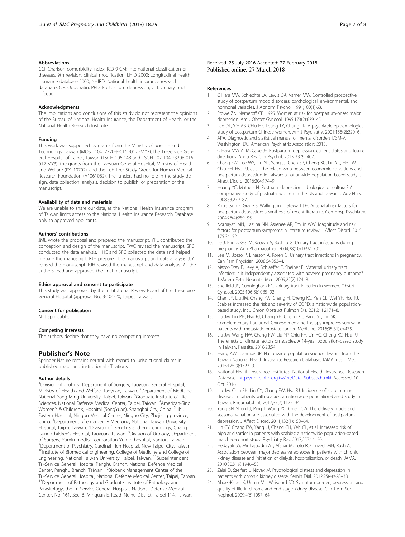#### <span id="page-6-0"></span>Abbreviations

CCI: Charlson comorbidity index; ICD-9-CM: International classification of diseases, 9th revision, clinical modification; LHID 2000: Longitudinal health insurance database 2000; NHIRD: National health insurance research database; OR: Odds ratio; PPD: Postpartum depression; UTI: Urinary tract infection

#### Acknowledgments

The implications and conclusions of this study do not represent the opinions of the Bureau of National Health Insurance, the Department of Health, or the National Health Research Institute.

#### Funding

This work was supported by grants from the Ministry of Science and Technology Taiwan (MOST 104–2320-B-016 -012 -MY3), the Tri-Service General Hospital of Taipei, Taiwan (TSGH-106-148 and TSGH-107-104-2320B-016- 012-MY3), the grants from the Taoyuan General Hospital, Ministry of Health and Welfare (PYT10702), and the Teh-Tzer Study Group for Human Medical Research Foundation (A1061082). The funders had no role in the study design, data collection, analysis, decision to publish, or preparation of the manuscript.

#### Availability of data and materials

We are unable to share our data, as the National Health Insurance program of Taiwan limits access to the National Health Insurance Research Database only to approved applicants.

#### Authors' contributions

JML wrote the proposal and prepared the manuscript. YPL contributed the conception and design of the manuscript. FWC revised the manuscript. SPC conducted the data analysis. HHC and SPC collected the data and helped prepare the manuscript. RJH prepared the manuscript and data analysis. JJY revised the manuscript. RJH revised the manuscript and data analysis. All the authors read and approved the final manuscript.

#### Ethics approval and consent to participate

This study was approved by the Institutional Review Board of the Tri-Service General Hospital (approval No: B-104-20, Taipei, Taiwan).

#### Consent for publication

Not applicable.

#### Competing interests

The authors declare that they have no competing interests.

#### Publisher's Note

Springer Nature remains neutral with regard to jurisdictional claims in published maps and institutional affiliations.

#### Author details

<sup>1</sup> Division of Urology, Department of Surgery, Taoyuan General Hospital, Ministry of Health and Welfare, Taoyuan, Taiwan. <sup>2</sup>Department of Medicine, National Yang-Ming University, Taipei, Taiwan. <sup>3</sup>Graduate Institute of Life Sciences, National Defense Medical Center, Taipei, Taiwan. <sup>4</sup>American-Sino Women's & Children's, Hospital (SongYuan), Shanghai City, China. <sup>5</sup>Lihuili Eastern Hospital, Ningbo Medical Center, Ningbo City, Zhejiang province, China. <sup>6</sup>Department of emergency Medicine, National Taiwan University Hospital, Taipei, Taiwan. <sup>7</sup> Division of Genetics and endocrinology, Chang Gung Children's Hospital, Taoyuan, Taiwan. <sup>8</sup>Division of Urology, Department of Surgery, Yumin medical corporation Yumin hospital, Nantou, Taiwan. 9 Department of Psychiatry, Cardinal Tien Hospital, New Taipei City, Taiwan. <sup>10</sup>Institute of Biomedical Engineering, College of Medicine and College of Engineering, National Taiwan University, Taipei, Taiwan. <sup>11</sup>Superintendent, Tri-Service General Hospital Penghu Branch, National Defence Medical<br>Center, Penghu Branch, Taiwan. <sup>12</sup>Biobank Management Center of the Tri-Service General Hospital, National Defense Medical Center, Taipei, Taiwan. <sup>13</sup>Department of Pathology and Graduate Institute of Pathology and Parasitology, the Tri-Service General Hospital, National Defense Medical Center, No. 161, Sec. 6, Minquan E. Road, Neihu District, Taipei 114, Taiwan.

#### Received: 25 July 2016 Accepted: 27 February 2018 Published online: 27 March 2018

#### References

- 1. O'Hara MW, Schlechte JA, Lewis DA, Varner MW. Controlled prospective study of postpartum mood disorders: psychological, environmental, and hormonal variables. J Abnorm Psychol. 1991;100(1):63.
- 2. Stowe ZN, Nemeroff CB. 1995. Women at risk for postpartum-onset major depression. Am J Obstet Gynecol. 1995;173(2):639–45.
- 3. Lee DT, Yip AS, Chiu HF, Leung TY, Chung TK. A psychiatric epidemiological study of postpartum Chinese women. Am J Psychiatry. 2001;158(2):220–6.
- 4. APA. Diagnostic and statistical manual of mental disorders DSM-V. Washington, DC: American Psychiatric Association; 2013.
- 5. O'Hara MW A, McCabe JE. Postpartum depression: current status and future directions. Annu Rev Clin Psychol. 2013;9:379–407.
- Chang FW, Lee WY, Liu YP, Yang JJ, Chen SP, Cheng KC, Lin YC, Ho TW, Chiu FH, Hsu RJ, et al. The relationship between economic conditions and postpartum depression in Taiwan: a nationwide population-based study. J Affect Disord. 2016;204:174–9.
- 7. Huang YC, Mathers N. Postnatal depression biological or cultural? A comparative study of postnatal women in the UK and Taiwan. J Adv Nurs. 2008;33:279–87.
- 8. Robertson E, Grace S, Wallington T, Stewart DE. Antenatal risk factors for postpartum depression: a synthesis of recent literature. Gen Hosp Psychiatry. 2004;26(4):289–95.
- 9. Norhayati MN, Hazlina NN, Asrenee AR, Emilin WW. Magnitude and risk factors for postpartum symptoms: a literature review. J Affect Disord. 2015; 175:34–52.
- 10. Le J, Briggs GG, McKeown A, Bustillo G. Urinary tract infections during pregnancy. Ann Pharmacother. 2004;38(10):1692–701.
- 11. Lee M, Bozzo P, Einarson A, Koren G. Urinary tract infections in pregnancy. Can Fam Physician. 2008;54:853–4.
- 12. Mazor-Dray E, Levy A, Schlaeffer F, Sheiner E. Maternal urinary tract infection: is it independently associated with adverse pregnancy outcome? J Matern Fetal Neonatal Med. 2009;22(2):124–8.
- 13. Sheffield JS, Cunningham FG. Urinary tract infection in women. Obstet Gynecol. 2005;106(5):1085–92.
- 14. Chen JY, Liu JM, Chang FW, Chang H, Cheng KC, Yeh CL, Wei YF, Hsu RJ. Scabies increased the risk and severity of COPD: a nationwide populationbased study. Int J Chron Obstruct Pulmon Dis. 2016;11:2171–8.
- 15. Liu JM, Lin PH, Hsu RJ, Chang YH, Cheng KC, Pang ST, Lin SK. Complementary traditional Chinese medicine therapy improves survival in patients with metastatic prostate cancer. Medicine. 2016;95(31):e4475.
- 16. Liu JM, Wang HW, Chang FW, Liu YP, Chiu FH, Lin YC, Cheng KC, Hsu RJ. The effects of climate factors on scabies. A 14-year population-based study in Taiwan. Parasite. 2016;23:54.
- 17. Hsing AW, Ioannidis JP. Nationwide population science: lessons from the Taiwan National Health Insurance Research Database. JAMA Intern Med. 2015;175(9):1527–9.
- 18. National Health Insurance Institutes: National Health Insurance Research Database. [http://nhird.nhri.org.tw/en/Data\\_Subsets.html#](http://nhird.nhri.org.tw/en/Data_Subsets.html) Accessed 10 Oct 2016.
- 19. Liu JM, Chiu FH, Lin CY, Chang FW, Hsu RJ. Incidence of autoimmune diseases in patients with scabies: a nationwide population-based study in Taiwan. Rheumatol Int. 2017;37(7):1125–34.
- 20. Yang SN, Shen LJ, Ping T, Wang YC, Chien CW. The delivery mode and seasonal variation are associated with the development of postpartum depression. J Affect Disord. 2011;132(1):158–64.
- 21. Lin CY, Chang FW, Yang JJ, Chang CH, Yeh CL, et al. Increased risk of bipolar disorder in patients with scabies: a nationwide population-based matched-cohort study. Psychiatry Res. 2017;257:14–20.
- 22. Hedayati SS, Minhajuddin AT, Afshar M, Toto RD, Trivedi MH, Rush AJ. Association between major depressive episodes in patients with chronic kidney disease and initiation of dialysis, hospitalization, or death. JAMA. 2010;303(19):1946–53.
- 23. Zalai D, Szeifert L, Novak M. Psychological distress and depression in patients with chronic kidney disease. Semin Dial. 2012;25(4):428–38.
- 24. Abdel-Kader K, Unruh ML, Weisbord SD. Symptom burden, depression, and quality of life in chronic and end-stage kidney disease. Clin J Am Soc Nephrol. 2009;4(6):1057–64.